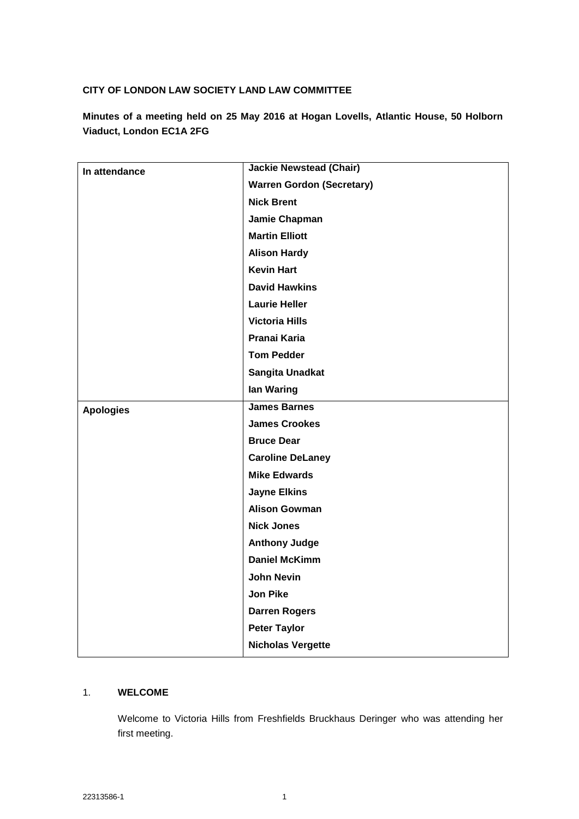# **CITY OF LONDON LAW SOCIETY LAND LAW COMMITTEE**

**Minutes of a meeting held on 25 May 2016 at Hogan Lovells, Atlantic House, 50 Holborn Viaduct, London EC1A 2FG**

| In attendance    | <b>Jackie Newstead (Chair)</b>   |
|------------------|----------------------------------|
|                  | <b>Warren Gordon (Secretary)</b> |
|                  | <b>Nick Brent</b>                |
|                  | Jamie Chapman                    |
|                  | <b>Martin Elliott</b>            |
|                  | <b>Alison Hardy</b>              |
|                  | <b>Kevin Hart</b>                |
|                  | <b>David Hawkins</b>             |
|                  | <b>Laurie Heller</b>             |
|                  | <b>Victoria Hills</b>            |
|                  | Pranai Karia                     |
|                  | <b>Tom Pedder</b>                |
|                  | Sangita Unadkat                  |
|                  | lan Waring                       |
| <b>Apologies</b> | <b>James Barnes</b>              |
|                  | <b>James Crookes</b>             |
|                  | <b>Bruce Dear</b>                |
|                  | <b>Caroline DeLaney</b>          |
|                  | <b>Mike Edwards</b>              |
|                  | <b>Jayne Elkins</b>              |
|                  | <b>Alison Gowman</b>             |
|                  | <b>Nick Jones</b>                |
|                  | <b>Anthony Judge</b>             |
|                  | <b>Daniel McKimm</b>             |
|                  | <b>John Nevin</b>                |
|                  | <b>Jon Pike</b>                  |
|                  | <b>Darren Rogers</b>             |
|                  | <b>Peter Taylor</b>              |
|                  | <b>Nicholas Vergette</b>         |

## 1. **WELCOME**

Welcome to Victoria Hills from Freshfields Bruckhaus Deringer who was attending her first meeting.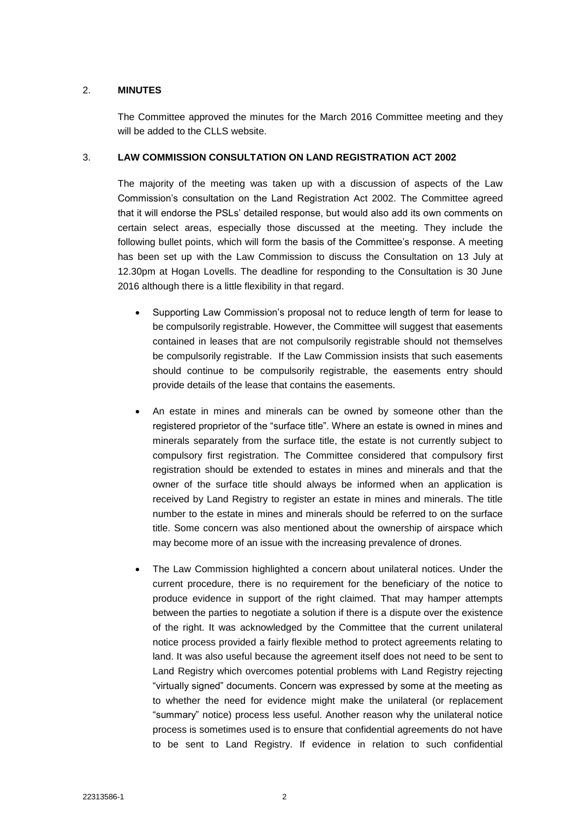## 2. **MINUTES**

The Committee approved the minutes for the March 2016 Committee meeting and they will be added to the CLLS website.

#### 3. **LAW COMMISSION CONSULTATION ON LAND REGISTRATION ACT 2002**

The majority of the meeting was taken up with a discussion of aspects of the Law Commission's consultation on the Land Registration Act 2002. The Committee agreed that it will endorse the PSLs' detailed response, but would also add its own comments on certain select areas, especially those discussed at the meeting. They include the following bullet points, which will form the basis of the Committee's response. A meeting has been set up with the Law Commission to discuss the Consultation on 13 July at 12.30pm at Hogan Lovells. The deadline for responding to the Consultation is 30 June 2016 although there is a little flexibility in that regard.

- Supporting Law Commission's proposal not to reduce length of term for lease to be compulsorily registrable. However, the Committee will suggest that easements contained in leases that are not compulsorily registrable should not themselves be compulsorily registrable. If the Law Commission insists that such easements should continue to be compulsorily registrable, the easements entry should provide details of the lease that contains the easements.
- An estate in mines and minerals can be owned by someone other than the registered proprietor of the "surface title". Where an estate is owned in mines and minerals separately from the surface title, the estate is not currently subject to compulsory first registration. The Committee considered that compulsory first registration should be extended to estates in mines and minerals and that the owner of the surface title should always be informed when an application is received by Land Registry to register an estate in mines and minerals. The title number to the estate in mines and minerals should be referred to on the surface title. Some concern was also mentioned about the ownership of airspace which may become more of an issue with the increasing prevalence of drones.
- The Law Commission highlighted a concern about unilateral notices. Under the current procedure, there is no requirement for the beneficiary of the notice to produce evidence in support of the right claimed. That may hamper attempts between the parties to negotiate a solution if there is a dispute over the existence of the right. It was acknowledged by the Committee that the current unilateral notice process provided a fairly flexible method to protect agreements relating to land. It was also useful because the agreement itself does not need to be sent to Land Registry which overcomes potential problems with Land Registry rejecting "virtually signed" documents. Concern was expressed by some at the meeting as to whether the need for evidence might make the unilateral (or replacement "summary" notice) process less useful. Another reason why the unilateral notice process is sometimes used is to ensure that confidential agreements do not have to be sent to Land Registry. If evidence in relation to such confidential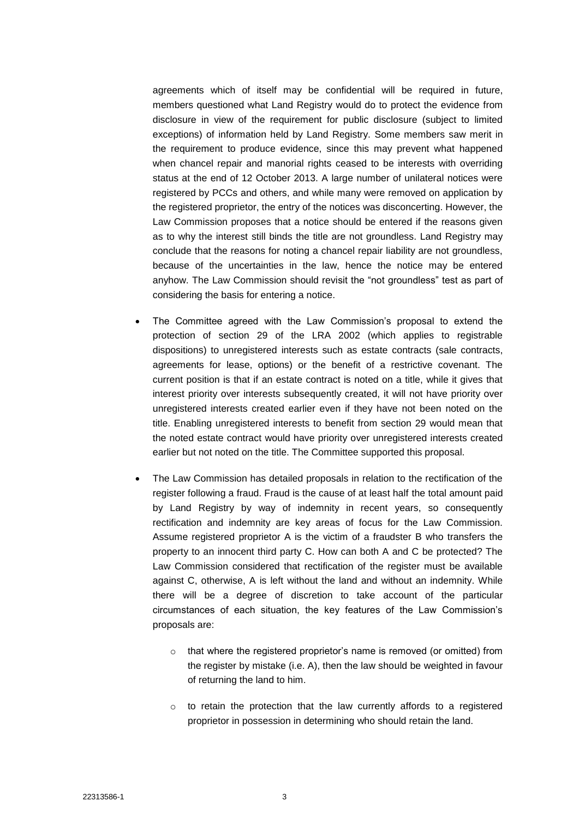agreements which of itself may be confidential will be required in future, members questioned what Land Registry would do to protect the evidence from disclosure in view of the requirement for public disclosure (subject to limited exceptions) of information held by Land Registry. Some members saw merit in the requirement to produce evidence, since this may prevent what happened when chancel repair and manorial rights ceased to be interests with overriding status at the end of 12 October 2013. A large number of unilateral notices were registered by PCCs and others, and while many were removed on application by the registered proprietor, the entry of the notices was disconcerting. However, the Law Commission proposes that a notice should be entered if the reasons given as to why the interest still binds the title are not groundless. Land Registry may conclude that the reasons for noting a chancel repair liability are not groundless, because of the uncertainties in the law, hence the notice may be entered anyhow. The Law Commission should revisit the "not groundless" test as part of considering the basis for entering a notice.

- The Committee agreed with the Law Commission's proposal to extend the protection of section 29 of the LRA 2002 (which applies to registrable dispositions) to unregistered interests such as estate contracts (sale contracts, agreements for lease, options) or the benefit of a restrictive covenant. The current position is that if an estate contract is noted on a title, while it gives that interest priority over interests subsequently created, it will not have priority over unregistered interests created earlier even if they have not been noted on the title. Enabling unregistered interests to benefit from section 29 would mean that the noted estate contract would have priority over unregistered interests created earlier but not noted on the title. The Committee supported this proposal.
- The Law Commission has detailed proposals in relation to the rectification of the register following a fraud. Fraud is the cause of at least half the total amount paid by Land Registry by way of indemnity in recent years, so consequently rectification and indemnity are key areas of focus for the Law Commission. Assume registered proprietor A is the victim of a fraudster B who transfers the property to an innocent third party C. How can both A and C be protected? The Law Commission considered that rectification of the register must be available against C, otherwise, A is left without the land and without an indemnity. While there will be a degree of discretion to take account of the particular circumstances of each situation, the key features of the Law Commission's proposals are:
	- o that where the registered proprietor's name is removed (or omitted) from the register by mistake (i.e. A), then the law should be weighted in favour of returning the land to him.
	- o to retain the protection that the law currently affords to a registered proprietor in possession in determining who should retain the land.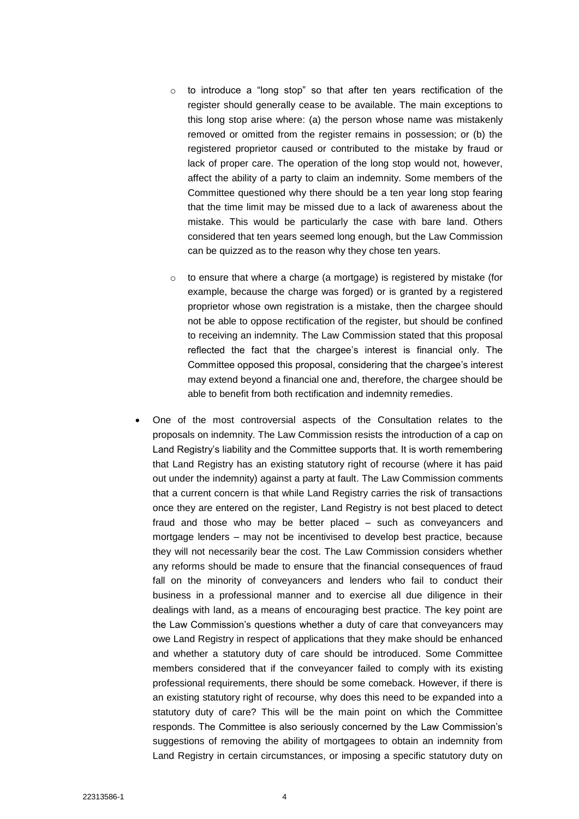- o to introduce a "long stop" so that after ten years rectification of the register should generally cease to be available. The main exceptions to this long stop arise where: (a) the person whose name was mistakenly removed or omitted from the register remains in possession; or (b) the registered proprietor caused or contributed to the mistake by fraud or lack of proper care. The operation of the long stop would not, however, affect the ability of a party to claim an indemnity. Some members of the Committee questioned why there should be a ten year long stop fearing that the time limit may be missed due to a lack of awareness about the mistake. This would be particularly the case with bare land. Others considered that ten years seemed long enough, but the Law Commission can be quizzed as to the reason why they chose ten years.
- o to ensure that where a charge (a mortgage) is registered by mistake (for example, because the charge was forged) or is granted by a registered proprietor whose own registration is a mistake, then the chargee should not be able to oppose rectification of the register, but should be confined to receiving an indemnity. The Law Commission stated that this proposal reflected the fact that the chargee's interest is financial only. The Committee opposed this proposal, considering that the chargee's interest may extend beyond a financial one and, therefore, the chargee should be able to benefit from both rectification and indemnity remedies.
- One of the most controversial aspects of the Consultation relates to the proposals on indemnity. The Law Commission resists the introduction of a cap on Land Registry's liability and the Committee supports that. It is worth remembering that Land Registry has an existing statutory right of recourse (where it has paid out under the indemnity) against a party at fault. The Law Commission comments that a current concern is that while Land Registry carries the risk of transactions once they are entered on the register, Land Registry is not best placed to detect fraud and those who may be better placed – such as conveyancers and mortgage lenders – may not be incentivised to develop best practice, because they will not necessarily bear the cost. The Law Commission considers whether any reforms should be made to ensure that the financial consequences of fraud fall on the minority of conveyancers and lenders who fail to conduct their business in a professional manner and to exercise all due diligence in their dealings with land, as a means of encouraging best practice. The key point are the Law Commission's questions whether a duty of care that conveyancers may owe Land Registry in respect of applications that they make should be enhanced and whether a statutory duty of care should be introduced. Some Committee members considered that if the conveyancer failed to comply with its existing professional requirements, there should be some comeback. However, if there is an existing statutory right of recourse, why does this need to be expanded into a statutory duty of care? This will be the main point on which the Committee responds. The Committee is also seriously concerned by the Law Commission's suggestions of removing the ability of mortgagees to obtain an indemnity from Land Registry in certain circumstances, or imposing a specific statutory duty on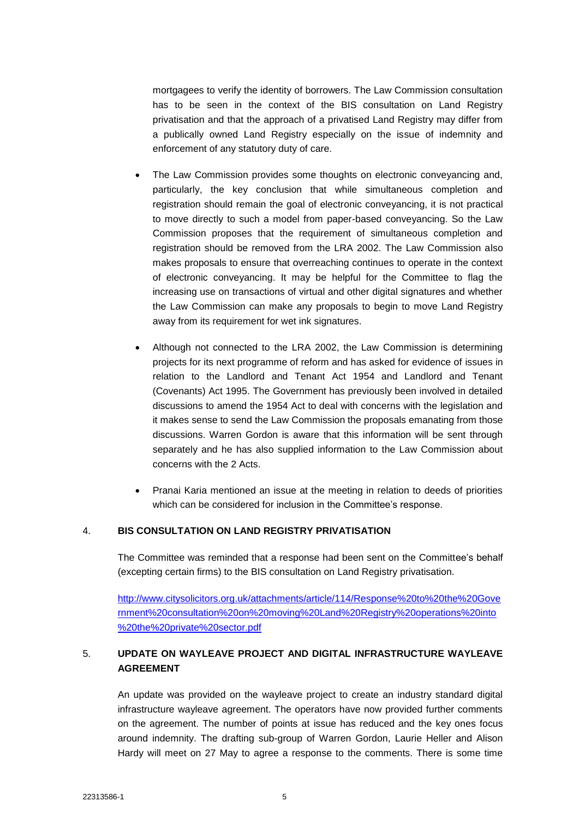mortgagees to verify the identity of borrowers. The Law Commission consultation has to be seen in the context of the BIS consultation on Land Registry privatisation and that the approach of a privatised Land Registry may differ from a publically owned Land Registry especially on the issue of indemnity and enforcement of any statutory duty of care.

- The Law Commission provides some thoughts on electronic conveyancing and, particularly, the key conclusion that while simultaneous completion and registration should remain the goal of electronic conveyancing, it is not practical to move directly to such a model from paper-based conveyancing. So the Law Commission proposes that the requirement of simultaneous completion and registration should be removed from the LRA 2002. The Law Commission also makes proposals to ensure that overreaching continues to operate in the context of electronic conveyancing. It may be helpful for the Committee to flag the increasing use on transactions of virtual and other digital signatures and whether the Law Commission can make any proposals to begin to move Land Registry away from its requirement for wet ink signatures.
- Although not connected to the LRA 2002, the Law Commission is determining projects for its next programme of reform and has asked for evidence of issues in relation to the Landlord and Tenant Act 1954 and Landlord and Tenant (Covenants) Act 1995. The Government has previously been involved in detailed discussions to amend the 1954 Act to deal with concerns with the legislation and it makes sense to send the Law Commission the proposals emanating from those discussions. Warren Gordon is aware that this information will be sent through separately and he has also supplied information to the Law Commission about concerns with the 2 Acts.
- Pranai Karia mentioned an issue at the meeting in relation to deeds of priorities which can be considered for inclusion in the Committee's response.

### 4. **BIS CONSULTATION ON LAND REGISTRY PRIVATISATION**

The Committee was reminded that a response had been sent on the Committee's behalf (excepting certain firms) to the BIS consultation on Land Registry privatisation.

[http://www.citysolicitors.org.uk/attachments/article/114/Response%20to%20the%20Gove](http://www.citysolicitors.org.uk/attachments/article/114/Response%20to%20the%20Government%20consultation%20on%20moving%20Land%20Registry%20operations%20into%20the%20private%20sector.pdf) [rnment%20consultation%20on%20moving%20Land%20Registry%20operations%20into](http://www.citysolicitors.org.uk/attachments/article/114/Response%20to%20the%20Government%20consultation%20on%20moving%20Land%20Registry%20operations%20into%20the%20private%20sector.pdf) [%20the%20private%20sector.pdf](http://www.citysolicitors.org.uk/attachments/article/114/Response%20to%20the%20Government%20consultation%20on%20moving%20Land%20Registry%20operations%20into%20the%20private%20sector.pdf)

# 5. **UPDATE ON WAYLEAVE PROJECT AND DIGITAL INFRASTRUCTURE WAYLEAVE AGREEMENT**

An update was provided on the wayleave project to create an industry standard digital infrastructure wayleave agreement. The operators have now provided further comments on the agreement. The number of points at issue has reduced and the key ones focus around indemnity. The drafting sub-group of Warren Gordon, Laurie Heller and Alison Hardy will meet on 27 May to agree a response to the comments. There is some time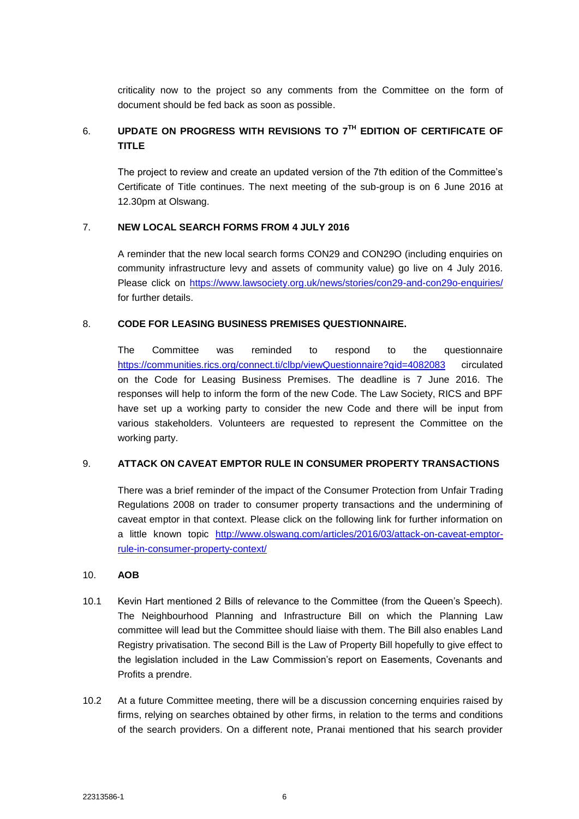criticality now to the project so any comments from the Committee on the form of document should be fed back as soon as possible.

# 6. **UPDATE ON PROGRESS WITH REVISIONS TO 7TH EDITION OF CERTIFICATE OF TITLE**

The project to review and create an updated version of the 7th edition of the Committee's Certificate of Title continues. The next meeting of the sub-group is on 6 June 2016 at 12.30pm at Olswang.

## 7. **NEW LOCAL SEARCH FORMS FROM 4 JULY 2016**

A reminder that the new local search forms CON29 and CON29O (including enquiries on community infrastructure levy and assets of community value) go live on 4 July 2016. Please click on<https://www.lawsociety.org.uk/news/stories/con29-and-con29o-enquiries/> for further details.

### 8. **CODE FOR LEASING BUSINESS PREMISES QUESTIONNAIRE.**

The Committee was reminded to respond to the questionnaire <https://communities.rics.org/connect.ti/clbp/viewQuestionnaire?qid=4082083> circulated on the Code for Leasing Business Premises. The deadline is 7 June 2016. The responses will help to inform the form of the new Code. The Law Society, RICS and BPF have set up a working party to consider the new Code and there will be input from various stakeholders. Volunteers are requested to represent the Committee on the working party.

## 9. **ATTACK ON CAVEAT EMPTOR RULE IN CONSUMER PROPERTY TRANSACTIONS**

There was a brief reminder of the impact of the Consumer Protection from Unfair Trading Regulations 2008 on trader to consumer property transactions and the undermining of caveat emptor in that context. Please click on the following link for further information on a little known topic [http://www.olswang.com/articles/2016/03/attack-on-caveat-emptor](http://www.olswang.com/articles/2016/03/attack-on-caveat-emptor-rule-in-consumer-property-context/)[rule-in-consumer-property-context/](http://www.olswang.com/articles/2016/03/attack-on-caveat-emptor-rule-in-consumer-property-context/)

## 10. **AOB**

- 10.1 Kevin Hart mentioned 2 Bills of relevance to the Committee (from the Queen's Speech). The Neighbourhood Planning and Infrastructure Bill on which the Planning Law committee will lead but the Committee should liaise with them. The Bill also enables Land Registry privatisation. The second Bill is the Law of Property Bill hopefully to give effect to the legislation included in the Law Commission's report on Easements, Covenants and Profits a prendre.
- 10.2 At a future Committee meeting, there will be a discussion concerning enquiries raised by firms, relying on searches obtained by other firms, in relation to the terms and conditions of the search providers. On a different note, Pranai mentioned that his search provider